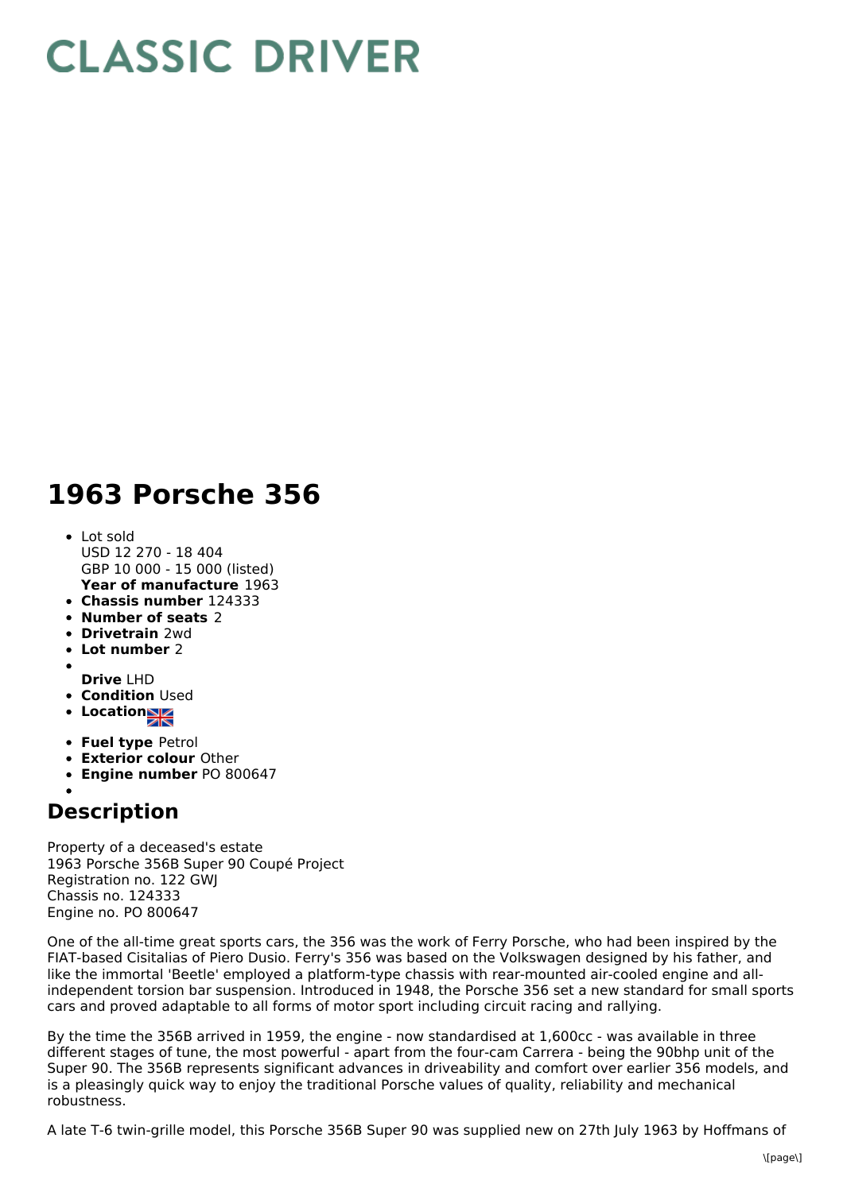## **CLASSIC DRIVER**

## **1963 Porsche 356**

- **Year of manufacture** 1963 Lot sold USD 12 270 - 18 404 GBP 10 000 - 15 000 (listed)
- **Chassis number** 124333
- **Number of seats** 2
- **Drivetrain** 2wd
- **Lot number** 2
- **Drive** LHD
- **Condition** Used
- Location<sub>al</sub>
- 
- **Fuel type** Petrol
- **Exterior colour** Other
- **Engine number** PO 800647

## **Description**

Property of a deceased's estate 1963 Porsche 356B Super 90 Coupé Project Registration no. 122 GWJ Chassis no. 124333 Engine no. PO 800647

One of the all-time great sports cars, the 356 was the work of Ferry Porsche, who had been inspired by the FIAT-based Cisitalias of Piero Dusio. Ferry's 356 was based on the Volkswagen designed by his father, and like the immortal 'Beetle' employed a platform-type chassis with rear-mounted air-cooled engine and allindependent torsion bar suspension. Introduced in 1948, the Porsche 356 set a new standard for small sports cars and proved adaptable to all forms of motor sport including circuit racing and rallying.

By the time the 356B arrived in 1959, the engine - now standardised at 1,600cc - was available in three different stages of tune, the most powerful - apart from the four-cam Carrera - being the 90bhp unit of the Super 90. The 356B represents significant advances in driveability and comfort over earlier 356 models, and is a pleasingly quick way to enjoy the traditional Porsche values of quality, reliability and mechanical robustness.

A late T-6 twin-grille model, this Porsche 356B Super 90 was supplied new on 27th July 1963 by Hoffmans of